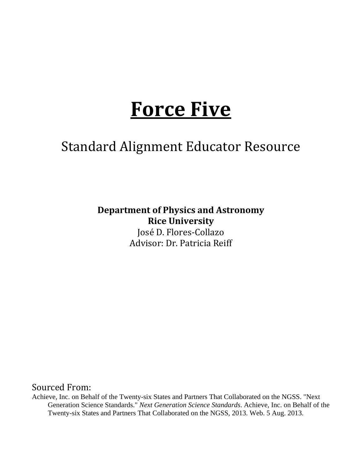# **Force Five**

# Standard Alignment Educator Resource

**Department of Physics and Astronomy Rice University**

> José D. Flores-Collazo Advisor: Dr. Patricia Reiff

Sourced From:

Achieve, Inc. on Behalf of the Twenty-six States and Partners That Collaborated on the NGSS. "Next Generation Science Standards." *Next Generation Science Standards*. Achieve, Inc. on Behalf of the Twenty-six States and Partners That Collaborated on the NGSS, 2013. Web. 5 Aug. 2013.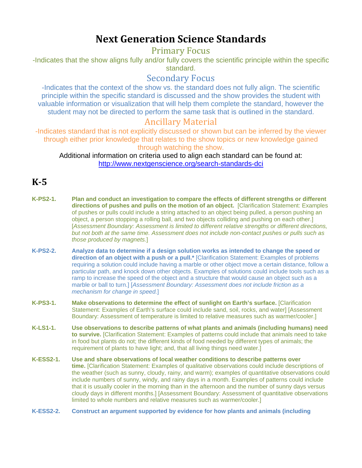# **Next Generation Science Standards**

**Primary Focus** 

-Indicates that the show aligns fully and/or fully covers the scientific principle within the specific standard.

#### **Secondary Focus**

-Indicates that the context of the show vs. the standard does not fully align. The scientific principle within the specific standard is discussed and the show provides the student with valuable information or visualization that will help them complete the standard, however the student may not be directed to perform the same task that is outlined in the standard.

#### Ancillary Material

-Indicates standard that is not explicitly discussed or shown but can be inferred by the viewer through either prior knowledge that relates to the show topics or new knowledge gained through watching the show.

Additional information on criteria used to align each standard can be found at: http://www.nextgenscience.org/search-standards-dci

#### **K‐5**

- **K-PS2-1. Plan and conduct an investigation to compare the effects of different strengths or different directions of pushes and pulls on the motion of an object.** [Clarification Statement: Examples of pushes or pulls could include a string attached to an object being pulled, a person pushing an object, a person stopping a rolling ball, and two objects colliding and pushing on each other.] [*Assessment Boundary: Assessment is limited to different relative strengths or different directions, but not both at the same time. Assessment does not include non-contact pushes or pulls such as those produced by magnets.*]
- **K-PS2-2. Analyze data to determine if a design solution works as intended to change the speed or direction of an object with a push or a pull.\*** [Clarification Statement: Examples of problems requiring a solution could include having a marble or other object move a certain distance, follow a particular path, and knock down other objects. Examples of solutions could include tools such as a ramp to increase the speed of the object and a structure that would cause an object such as a marble or ball to turn.] [*Assessment Boundary: Assessment does not include friction as a mechanism for change in speed.*]
- **K-PS3-1. Make observations to determine the effect of sunlight on Earth's surface.** [Clarification Statement: Examples of Earth's surface could include sand, soil, rocks, and water] [Assessment Boundary: Assessment of temperature is limited to relative measures such as warmer/cooler.]
- **K-LS1-1. Use observations to describe patterns of what plants and animals (including humans) need to survive.** [Clarification Statement: Examples of patterns could include that animals need to take in food but plants do not; the different kinds of food needed by different types of animals; the requirement of plants to have light; and, that all living things need water.]
- **K-ESS2-1. Use and share observations of local weather conditions to describe patterns over time.** [Clarification Statement: Examples of qualitative observations could include descriptions of the weather (such as sunny, cloudy, rainy, and warm); examples of quantitative observations could include numbers of sunny, windy, and rainy days in a month. Examples of patterns could include that it is usually cooler in the morning than in the afternoon and the number of sunny days versus cloudy days in different months.] [Assessment Boundary: Assessment of quantitative observations limited to whole numbers and relative measures such as warmer/cooler.]
- **K-ESS2-2. Construct an argument supported by evidence for how plants and animals (including**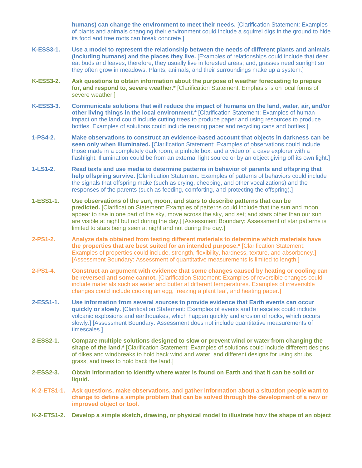**humans) can change the environment to meet their needs.** [Clarification Statement: Examples of plants and animals changing their environment could include a squirrel digs in the ground to hide its food and tree roots can break concrete.]

- **K-ESS3-1. Use a model to represent the relationship between the needs of different plants and animals (including humans) and the places they live.** [Examples of relationships could include that deer eat buds and leaves, therefore, they usually live in forested areas; and, grasses need sunlight so they often grow in meadows. Plants, animals, and their surroundings make up a system.]
- **K-ESS3-2. Ask questions to obtain information about the purpose of weather forecasting to prepare for, and respond to, severe weather.\*** [Clarification Statement: Emphasis is on local forms of severe weather.]
- **K-ESS3-3. Communicate solutions that will reduce the impact of humans on the land, water, air, and/or other living things in the local environment.\*** [Clarification Statement: Examples of human impact on the land could include cutting trees to produce paper and using resources to produce bottles. Examples of solutions could include reusing paper and recycling cans and bottles.]
- **1-PS4-2. Make observations to construct an evidence-based account that objects in darkness can be seen only when illuminated.** [Clarification Statement: Examples of observations could include those made in a completely dark room, a pinhole box, and a video of a cave explorer with a flashlight. Illumination could be from an external light source or by an object giving off its own light.]
- **1-LS1-2. Read texts and use media to determine patterns in behavior of parents and offspring that help offspring survive.** [Clarification Statement: Examples of patterns of behaviors could include the signals that offspring make (such as crying, cheeping, and other vocalizations) and the responses of the parents (such as feeding, comforting, and protecting the offspring).]
- **1-ESS1-1. Use observations of the sun, moon, and stars to describe patterns that can be predicted.** [Clarification Statement: Examples of patterns could include that the sun and moon appear to rise in one part of the sky, move across the sky, and set; and stars other than our sun are visible at night but not during the day.] [Assessment Boundary: Assessment of star patterns is limited to stars being seen at night and not during the day.]
- **2-PS1-2. Analyze data obtained from testing different materials to determine which materials have the properties that are best suited for an intended purpose.\*** [Clarification Statement: Examples of properties could include, strength, flexibility, hardness, texture, and absorbency.] [Assessment Boundary: Assessment of quantitative measurements is limited to length.]
- **2-PS1-4. Construct an argument with evidence that some changes caused by heating or cooling can be reversed and some cannot.** [Clarification Statement: Examples of reversible changes could include materials such as water and butter at different temperatures. Examples of irreversible changes could include cooking an egg, freezing a plant leaf, and heating paper.]
- **2-ESS1-1. Use information from several sources to provide evidence that Earth events can occur quickly or slowly.** [Clarification Statement: Examples of events and timescales could include volcanic explosions and earthquakes, which happen quickly and erosion of rocks, which occurs slowly.] [Assessment Boundary: Assessment does not include quantitative measurements of timescales.]
- **2-ESS2-1. Compare multiple solutions designed to slow or prevent wind or water from changing the shape of the land.\*** [Clarification Statement: Examples of solutions could include different designs of dikes and windbreaks to hold back wind and water, and different designs for using shrubs, grass, and trees to hold back the land.]
- **2-ESS2-3. Obtain information to identify where water is found on Earth and that it can be solid or liquid.**
- **K-2-ETS1-1. Ask questions, make observations, and gather information about a situation people want to change to define a simple problem that can be solved through the development of a new or improved object or tool.**
- **K-2-ETS1-2. Develop a simple sketch, drawing, or physical model to illustrate how the shape of an object**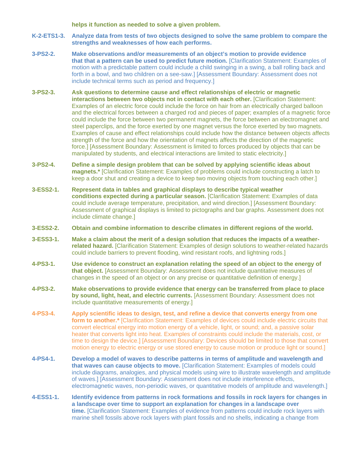**helps it function as needed to solve a given problem.** 

- **K-2-ETS1-3. Analyze data from tests of two objects designed to solve the same problem to compare the strengths and weaknesses of how each performs.**
- **3-PS2-2. Make observations and/or measurements of an object's motion to provide evidence that that a pattern can be used to predict future motion.** [Clarification Statement: Examples of motion with a predictable pattern could include a child swinging in a swing, a ball rolling back and forth in a bowl, and two children on a see-saw.] [Assessment Boundary: Assessment does not include technical terms such as period and frequency.]
- **3-PS2-3. Ask questions to determine cause and effect relationships of electric or magnetic interactions between two objects not in contact with each other.** [Clarification Statement: Examples of an electric force could include the force on hair from an electrically charged balloon and the electrical forces between a charged rod and pieces of paper; examples of a magnetic force could include the force between two permanent magnets, the force between an electromagnet and steel paperclips, and the force exerted by one magnet versus the force exerted by two magnets. Examples of cause and effect relationships could include how the distance between objects affects strength of the force and how the orientation of magnets affects the direction of the magnetic force.] [Assessment Boundary: Assessment is limited to forces produced by objects that can be manipulated by students, and electrical interactions are limited to static electricity.]
- **3-PS2-4. Define a simple design problem that can be solved by applying scientific ideas about magnets.\*** [Clarification Statement: Examples of problems could include constructing a latch to keep a door shut and creating a device to keep two moving objects from touching each other.]
- **3-ESS2-1. Represent data in tables and graphical displays to describe typical weather conditions expected during a particular season.** [Clarification Statement: Examples of data could include average temperature, precipitation, and wind direction.] [Assessment Boundary: Assessment of graphical displays is limited to pictographs and bar graphs. Assessment does not include climate change.]
- **3-ESS2-2. Obtain and combine information to describe climates in different regions of the world.**
- **3-ESS3-1. Make a claim about the merit of a design solution that reduces the impacts of a weatherrelated hazard.** [Clarification Statement: Examples of design solutions to weather-related hazards could include barriers to prevent flooding, wind resistant roofs, and lightning rods.]
- **4-PS3-1. Use evidence to construct an explanation relating the speed of an object to the energy of that object.** [Assessment Boundary: Assessment does not include quantitative measures of changes in the speed of an object or on any precise or quantitative definition of energy.]
- **4-PS3-2. Make observations to provide evidence that energy can be transferred from place to place by sound, light, heat, and electric currents.** [Assessment Boundary: Assessment does not include quantitative measurements of energy.]
- **4-PS3-4. Apply scientific ideas to design, test, and refine a device that converts energy from one form to another.\*** [Clarification Statement: Examples of devices could include electric circuits that convert electrical energy into motion energy of a vehicle, light, or sound; and, a passive solar heater that converts light into heat. Examples of constraints could include the materials, cost, or time to design the device.] [Assessment Boundary: Devices should be limited to those that convert motion energy to electric energy or use stored energy to cause motion or produce light or sound.]
- **4-PS4-1. Develop a model of waves to describe patterns in terms of amplitude and wavelength and that waves can cause objects to move.** [Clarification Statement: Examples of models could include diagrams, analogies, and physical models using wire to illustrate wavelength and amplitude of waves.] [Assessment Boundary: Assessment does not include interference effects, electromagnetic waves, non-periodic waves, or quantitative models of amplitude and wavelength.]
- **4-ESS1-1. Identify evidence from patterns in rock formations and fossils in rock layers for changes in a landscape over time to support an explanation for changes in a landscape over time.** [Clarification Statement: Examples of evidence from patterns could include rock layers with marine shell fossils above rock layers with plant fossils and no shells, indicating a change from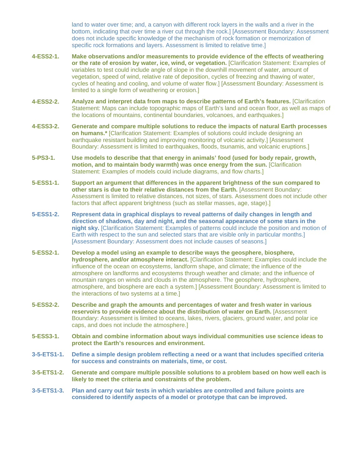land to water over time; and, a canyon with different rock layers in the walls and a river in the bottom, indicating that over time a river cut through the rock.] [Assessment Boundary: Assessment does not include specific knowledge of the mechanism of rock formation or memorization of specific rock formations and layers. Assessment is limited to relative time.]

- **4-ESS2-1. Make observations and/or measurements to provide evidence of the effects of weathering or the rate of erosion by water, ice, wind, or vegetation.** [Clarification Statement: Examples of variables to test could include angle of slope in the downhill movement of water, amount of vegetation, speed of wind, relative rate of deposition, cycles of freezing and thawing of water, cycles of heating and cooling, and volume of water flow.] [Assessment Boundary: Assessment is limited to a single form of weathering or erosion.]
- **4-ESS2-2. Analyze and interpret data from maps to describe patterns of Earth's features.** [Clarification Statement: Maps can include topographic maps of Earth's land and ocean floor, as well as maps of the locations of mountains, continental boundaries, volcanoes, and earthquakes.]
- **4-ESS3-2. Generate and compare multiple solutions to reduce the impacts of natural Earth processes on humans.\*** [Clarification Statement: Examples of solutions could include designing an earthquake resistant building and improving monitoring of volcanic activity.] [Assessment Boundary: Assessment is limited to earthquakes, floods, tsunamis, and volcanic eruptions.]
- **5-PS3-1. Use models to describe that that energy in animals' food (used for body repair, growth, motion, and to maintain body warmth) was once energy from the sun.** [Clarification Statement: Examples of models could include diagrams, and flow charts.]
- **5-ESS1-1. Support an argument that differences in the apparent brightness of the sun compared to other stars is due to their relative distances from the Earth.** [Assessment Boundary: Assessment is limited to relative distances, not sizes, of stars. Assessment does not include other factors that affect apparent brightness (such as stellar masses, age, stage).]
- **5-ESS1-2. Represent data in graphical displays to reveal patterns of daily changes in length and direction of shadows, day and night, and the seasonal appearance of some stars in the night sky.** [Clarification Statement: Examples of patterns could include the position and motion of Earth with respect to the sun and selected stars that are visible only in particular months.] [Assessment Boundary: Assessment does not include causes of seasons.]
- **5-ESS2-1. Develop a model using an example to describe ways the geosphere, biosphere, hydrosphere, and/or atmosphere interact.** [Clarification Statement: Examples could include the influence of the ocean on ecosystems, landform shape, and climate; the influence of the atmosphere on landforms and ecosystems through weather and climate; and the influence of mountain ranges on winds and clouds in the atmosphere. The geosphere, hydrosphere, atmosphere, and biosphere are each a system.] [Assessment Boundary: Assessment is limited to the interactions of two systems at a time.]
- **5-ESS2-2. Describe and graph the amounts and percentages of water and fresh water in various reservoirs to provide evidence about the distribution of water on Earth.** [Assessment Boundary: Assessment is limited to oceans, lakes, rivers, glaciers, ground water, and polar ice caps, and does not include the atmosphere.]
- **5-ESS3-1. Obtain and combine information about ways individual communities use science ideas to protect the Earth's resources and environment.**
- **3-5-ETS1-1. Define a simple design problem reflecting a need or a want that includes specified criteria for success and constraints on materials, time, or cost.**
- **3-5-ETS1-2. Generate and compare multiple possible solutions to a problem based on how well each is likely to meet the criteria and constraints of the problem.**
- **3-5-ETS1-3. Plan and carry out fair tests in which variables are controlled and failure points are considered to identify aspects of a model or prototype that can be improved.**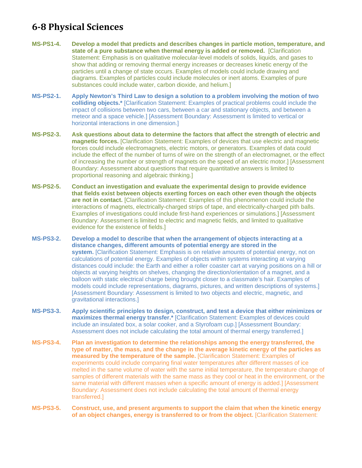### **6‐8 Physical Sciences**

- **MS-PS1-4. Develop a model that predicts and describes changes in particle motion, temperature, and state of a pure substance when thermal energy is added or removed.** [Clarification Statement: Emphasis is on qualitative molecular-level models of solids, liquids, and gases to show that adding or removing thermal energy increases or decreases kinetic energy of the particles until a change of state occurs. Examples of models could include drawing and diagrams. Examples of particles could include molecules or inert atoms. Examples of pure substances could include water, carbon dioxide, and helium.]
- **MS-PS2-1. Apply Newton's Third Law to design a solution to a problem involving the motion of two colliding objects.\*** [Clarification Statement: Examples of practical problems could include the impact of collisions between two cars, between a car and stationary objects, and between a meteor and a space vehicle.] [Assessment Boundary: Assessment is limited to vertical or horizontal interactions in one dimension.]
- **MS-PS2-3. Ask questions about data to determine the factors that affect the strength of electric and magnetic forces.** [Clarification Statement: Examples of devices that use electric and magnetic forces could include electromagnets, electric motors, or generators. Examples of data could include the effect of the number of turns of wire on the strength of an electromagnet, or the effect of increasing the number or strength of magnets on the speed of an electric motor.] [Assessment Boundary: Assessment about questions that require quantitative answers is limited to proportional reasoning and algebraic thinking.]
- **MS-PS2-5. Conduct an investigation and evaluate the experimental design to provide evidence that fields exist between objects exerting forces on each other even though the objects are not in contact.** [Clarification Statement: Examples of this phenomenon could include the interactions of magnets, electrically-charged strips of tape, and electrically-charged pith balls. Examples of investigations could include first-hand experiences or simulations.] [Assessment Boundary: Assessment is limited to electric and magnetic fields, and limited to qualitative evidence for the existence of fields.]
- **MS-PS3-2. Develop a model to describe that when the arrangement of objects interacting at a distance changes, different amounts of potential energy are stored in the system.** [Clarification Statement: Emphasis is on relative amounts of potential energy, not on calculations of potential energy. Examples of objects within systems interacting at varying distances could include: the Earth and either a roller coaster cart at varying positions on a hill or objects at varying heights on shelves, changing the direction/orientation of a magnet, and a balloon with static electrical charge being brought closer to a classmate's hair. Examples of models could include representations, diagrams, pictures, and written descriptions of systems.] [Assessment Boundary: Assessment is limited to two objects and electric, magnetic, and gravitational interactions.]
- **MS-PS3-3. Apply scientific principles to design, construct, and test a device that either minimizes or maximizes thermal energy transfer.\*** [Clarification Statement: Examples of devices could include an insulated box, a solar cooker, and a Styrofoam cup.] [Assessment Boundary: Assessment does not include calculating the total amount of thermal energy transferred.]
- **MS-PS3-4. Plan an investigation to determine the relationships among the energy transferred, the type of matter, the mass, and the change in the average kinetic energy of the particles as measured by the temperature of the sample.** [Clarification Statement: Examples of experiments could include comparing final water temperatures after different masses of ice melted in the same volume of water with the same initial temperature, the temperature change of samples of different materials with the same mass as they cool or heat in the environment, or the same material with different masses when a specific amount of energy is added.] [Assessment Boundary: Assessment does not include calculating the total amount of thermal energy transferred.]
- **MS-PS3-5. Construct, use, and present arguments to support the claim that when the kinetic energy of an object changes, energy is transferred to or from the object.** [Clarification Statement: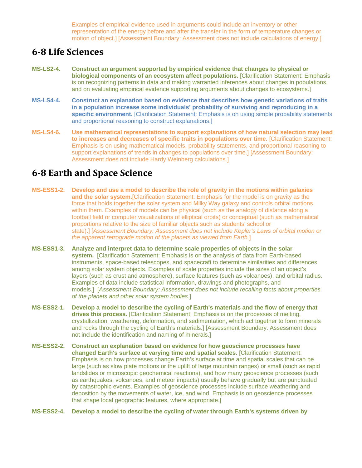Examples of empirical evidence used in arguments could include an inventory or other representation of the energy before and after the transfer in the form of temperature changes or motion of object.] [Assessment Boundary: Assessment does not include calculations of energy.]

### **6‐8 Life Sciences**

- **MS-LS2-4. Construct an argument supported by empirical evidence that changes to physical or biological components of an ecosystem affect populations.** [Clarification Statement: Emphasis is on recognizing patterns in data and making warranted inferences about changes in populations, and on evaluating empirical evidence supporting arguments about changes to ecosystems.]
- **MS-LS4-4. Construct an explanation based on evidence that describes how genetic variations of traits in a population increase some individuals' probability of surviving and reproducing in a specific environment.** [Clarification Statement: Emphasis is on using simple probability statements and proportional reasoning to construct explanations.]
- **MS-LS4-6. Use mathematical representations to support explanations of how natural selection may lead to increases and decreases of specific traits in populations over time.** [Clarification Statement: Emphasis is on using mathematical models, probability statements, and proportional reasoning to support explanations of trends in changes to populations over time.] [Assessment Boundary: Assessment does not include Hardy Weinberg calculations.]

#### **6‐8 Earth and Space Science**

- **MS-ESS1-2. Develop and use a model to describe the role of gravity in the motions within galaxies and the solar system.**[Clarification Statement: Emphasis for the model is on gravity as the force that holds together the solar system and Milky Way galaxy and controls orbital motions within them. Examples of models can be physical (such as the analogy of distance along a football field or computer visualizations of elliptical orbits) or conceptual (such as mathematical proportions relative to the size of familiar objects such as students' school or state).] [*Assessment Boundary: Assessment does not include Kepler's Laws of orbital motion or the apparent retrograde motion of the planets as viewed from Earth.*]
- **MS-ESS1-3. Analyze and interpret data to determine scale properties of objects in the solar system.** [Clarification Statement: Emphasis is on the analysis of data from Earth-based instruments, space-based telescopes, and spacecraft to determine similarities and differences among solar system objects. Examples of scale properties include the sizes of an object's layers (such as crust and atmosphere), surface features (such as volcanoes), and orbital radius. Examples of data include statistical information, drawings and photographs, and models.] [*Assessment Boundary: Assessment does not include recalling facts about properties of the planets and other solar system bodies.*]
- **MS-ESS2-1. Develop a model to describe the cycling of Earth's materials and the flow of energy that drives this process.** [Clarification Statement: Emphasis is on the processes of melting, crystallization, weathering, deformation, and sedimentation, which act together to form minerals and rocks through the cycling of Earth's materials.] [Assessment Boundary: Assessment does not include the identification and naming of minerals.]
- **MS-ESS2-2. Construct an explanation based on evidence for how geoscience processes have changed Earth's surface at varying time and spatial scales.** [Clarification Statement: Emphasis is on how processes change Earth's surface at time and spatial scales that can be large (such as slow plate motions or the uplift of large mountain ranges) or small (such as rapid landslides or microscopic geochemical reactions), and how many geoscience processes (such as earthquakes, volcanoes, and meteor impacts) usually behave gradually but are punctuated by catastrophic events. Examples of geoscience processes include surface weathering and deposition by the movements of water, ice, and wind. Emphasis is on geoscience processes that shape local geographic features, where appropriate.]
- **MS-ESS2-4. Develop a model to describe the cycling of water through Earth's systems driven by**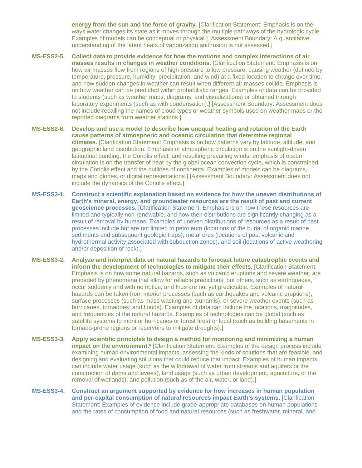**energy from the sun and the force of gravity.** [Clarification Statement: Emphasis is on the ways water changes its state as it moves through the multiple pathways of the hydrologic cycle. Examples of models can be conceptual or physical.] [Assessment Boundary: A quantitative understanding of the latent heats of vaporization and fusion is not assessed.]

- **MS-ESS2-5. Collect data to provide evidence for how the motions and complex interactions of air masses results in changes in weather conditions.** [Clarification Statement: Emphasis is on how air masses flow from regions of high pressure to low pressure, causing weather (defined by temperature, pressure, humidity, precipitation, and wind) at a fixed location to change over time, and how sudden changes in weather can result when different air masses collide. Emphasis is on how weather can be predicted within probabilistic ranges. Examples of data can be provided to students (such as weather maps, diagrams, and visualizations) or obtained through laboratory experiments (such as with condensation).] [Assessment Boundary: Assessment does not include recalling the names of cloud types or weather symbols used on weather maps or the reported diagrams from weather stations.]
- **MS-ESS2-6. Develop and use a model to describe how unequal heating and rotation of the Earth cause patterns of atmospheric and oceanic circulation that determine regional climates.** [Clarification Statement: Emphasis is on how patterns vary by latitude, altitude, and geographic land distribution. Emphasis of atmospheric circulation is on the sunlight-driven latitudinal banding, the Coriolis effect, and resulting prevailing winds; emphasis of ocean circulation is on the transfer of heat by the global ocean convection cycle, which is constrained by the Coriolis effect and the outlines of continents. Examples of models can be diagrams, maps and globes, or digital representations.] [Assessment Boundary: Assessment does not include the dynamics of the Coriolis effect.]
- **MS-ESS3-1. Construct a scientific explanation based on evidence for how the uneven distributions of Earth's mineral, energy, and groundwater resources are the result of past and current geoscience processes.** [Clarification Statement: Emphasis is on how these resources are limited and typically non-renewable, and how their distributions are significantly changing as a result of removal by humans. Examples of uneven distributions of resources as a result of past processes include but are not limited to petroleum (locations of the burial of organic marine sediments and subsequent geologic traps), metal ores (locations of past volcanic and hydrothermal activity associated with subduction zones), and soil (locations of active weathering and/or deposition of rock).]
- **MS-ESS3-2. Analyze and interpret data on natural hazards to forecast future catastrophic events and inform the development of technologies to mitigate their effects. [Clarification Statement:** Emphasis is on how some natural hazards, such as volcanic eruptions and severe weather, are preceded by phenomena that allow for reliable predictions, but others, such as earthquakes, occur suddenly and with no notice, and thus are not yet predictable. Examples of natural hazards can be taken from interior processes (such as earthquakes and volcanic eruptions), surface processes (such as mass wasting and tsunamis), or severe weather events (such as hurricanes, tornadoes, and floods). Examples of data can include the locations, magnitudes, and frequencies of the natural hazards. Examples of technologies can be global (such as satellite systems to monitor hurricanes or forest fires) or local (such as building basements in tornado-prone regions or reservoirs to mitigate droughts).]
- **MS-ESS3-3. Apply scientific principles to design a method for monitoring and minimizing a human impact on the environment.\*** [Clarification Statement: Examples of the design process include examining human environmental impacts, assessing the kinds of solutions that are feasible, and designing and evaluating solutions that could reduce that impact. Examples of human impacts can include water usage (such as the withdrawal of water from streams and aquifers or the construction of dams and levees), land usage (such as urban development, agriculture, or the removal of wetlands), and pollution (such as of the air, water, or land).]
- **MS-ESS3-4. Construct an argument supported by evidence for how increases in human population and per-capital consumption of natural resources impact Earth's systems.** [Clarification Statement: Examples of evidence include grade-appropriate databases on human populations and the rates of consumption of food and natural resources (such as freshwater, mineral, and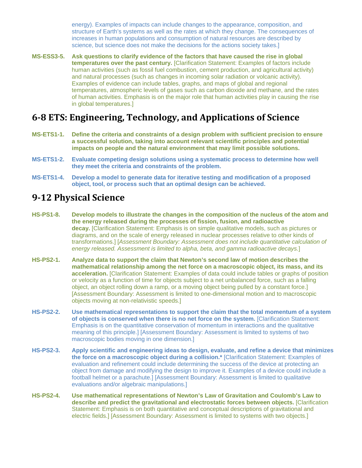energy). Examples of impacts can include changes to the appearance, composition, and structure of Earth's systems as well as the rates at which they change. The consequences of increases in human populations and consumption of natural resources are described by science, but science does not make the decisions for the actions society takes.]

**MS-ESS3-5. Ask questions to clarify evidence of the factors that have caused the rise in global temperatures over the past century.** [Clarification Statement: Examples of factors include human activities (such as fossil fuel combustion, cement production, and agricultural activity) and natural processes (such as changes in incoming solar radiation or volcanic activity). Examples of evidence can include tables, graphs, and maps of global and regional temperatures, atmospheric levels of gases such as carbon dioxide and methane, and the rates of human activities. Emphasis is on the major role that human activities play in causing the rise in global temperatures.]

## **6‐8 ETS: Engineering, Technology, and Applications of Science**

- **MS-ETS1-1. Define the criteria and constraints of a design problem with sufficient precision to ensure a successful solution, taking into account relevant scientific principles and potential impacts on people and the natural environment that may limit possible solutions.**
- **MS-ETS1-2. Evaluate competing design solutions using a systematic process to determine how well they meet the criteria and constraints of the problem.**
- **MS-ETS1-4. Develop a model to generate data for iterative testing and modification of a proposed object, tool, or process such that an optimal design can be achieved.**

#### **9‐12 Physical Science**

- **HS-PS1-8. Develop models to illustrate the changes in the composition of the nucleus of the atom and the energy released during the processes of fission, fusion, and radioactive decay.** [Clarification Statement: Emphasis is on simple qualitative models, such as pictures or diagrams, and on the scale of energy released in nuclear processes relative to other kinds of transformations.] [*Assessment Boundary: Assessment does not include quantitative calculation of energy released. Assessment is limited to alpha, beta, and gamma radioactive decays.*]
- **HS-PS2-1. Analyze data to support the claim that Newton's second law of motion describes the mathematical relationship among the net force on a macroscopic object, its mass, and its acceleration.** [Clarification Statement: Examples of data could include tables or graphs of position or velocity as a function of time for objects subject to a net unbalanced force, such as a falling object, an object rolling down a ramp, or a moving object being pulled by a constant force.] [Assessment Boundary: Assessment is limited to one-dimensional motion and to macroscopic objects moving at non-relativistic speeds.]
- **HS-PS2-2. Use mathematical representations to support the claim that the total momentum of a system of objects is conserved when there is no net force on the system.** [Clarification Statement: Emphasis is on the quantitative conservation of momentum in interactions and the qualitative meaning of this principle.] [Assessment Boundary: Assessment is limited to systems of two macroscopic bodies moving in one dimension.]
- **HS-PS2-3. Apply scientific and engineering ideas to design, evaluate, and refine a device that minimizes the force on a macroscopic object during a collision.\*** [Clarification Statement: Examples of evaluation and refinement could include determining the success of the device at protecting an object from damage and modifying the design to improve it. Examples of a device could include a football helmet or a parachute.] [Assessment Boundary: Assessment is limited to qualitative evaluations and/or algebraic manipulations.
- **HS-PS2-4. Use mathematical representations of Newton's Law of Gravitation and Coulomb's Law to describe and predict the gravitational and electrostatic forces between objects.** [Clarification Statement: Emphasis is on both quantitative and conceptual descriptions of gravitational and electric fields.] [Assessment Boundary: Assessment is limited to systems with two objects.]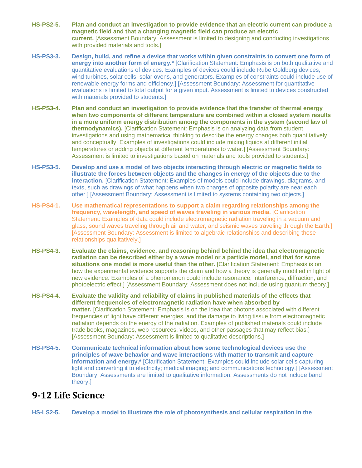- **HS-PS2-5. Plan and conduct an investigation to provide evidence that an electric current can produce a magnetic field and that a changing magnetic field can produce an electric current.** [Assessment Boundary: Assessment is limited to designing and conducting investigations with provided materials and tools.]
- **HS-PS3-3. Design, build, and refine a device that works within given constraints to convert one form of energy into another form of energy.\*** [Clarification Statement: Emphasis is on both qualitative and quantitative evaluations of devices. Examples of devices could include Rube Goldberg devices, wind turbines, solar cells, solar ovens, and generators. Examples of constraints could include use of renewable energy forms and efficiency.] [Assessment Boundary: Assessment for quantitative evaluations is limited to total output for a given input. Assessment is limited to devices constructed with materials provided to students.]
- **HS-PS3-4. Plan and conduct an investigation to provide evidence that the transfer of thermal energy when two components of different temperature are combined within a closed system results in a more uniform energy distribution among the components in the system (second law of thermodynamics).** [Clarification Statement: Emphasis is on analyzing data from student investigations and using mathematical thinking to describe the energy changes both quantitatively and conceptually. Examples of investigations could include mixing liquids at different initial temperatures or adding objects at different temperatures to water.] [Assessment Boundary: Assessment is limited to investigations based on materials and tools provided to students.]
- **HS-PS3-5. Develop and use a model of two objects interacting through electric or magnetic fields to illustrate the forces between objects and the changes in energy of the objects due to the interaction.** [Clarification Statement: Examples of models could include drawings, diagrams, and texts, such as drawings of what happens when two charges of opposite polarity are near each other.] [Assessment Boundary: Assessment is limited to systems containing two objects.]
- **HS-PS4-1. Use mathematical representations to support a claim regarding relationships among the frequency, wavelength, and speed of waves traveling in various media.** [Clarification Statement: Examples of data could include electromagnetic radiation traveling in a vacuum and glass, sound waves traveling through air and water, and seismic waves traveling through the Earth.] [Assessment Boundary: Assessment is limited to algebraic relationships and describing those relationships qualitatively.]
- **HS-PS4-3. Evaluate the claims, evidence, and reasoning behind behind the idea that electromagnetic radiation can be described either by a wave model or a particle model, and that for some situations one model is more useful than the other.** [Clarification Statement: Emphasis is on how the experimental evidence supports the claim and how a theory is generally modified in light of new evidence. Examples of a phenomenon could include resonance, interference, diffraction, and photoelectric effect.] [Assessment Boundary: Assessment does not include using quantum theory.]
- **HS-PS4-4. Evaluate the validity and reliability of claims in published materials of the effects that different frequencies of electromagnetic radiation have when absorbed by matter.** [Clarification Statement: Emphasis is on the idea that photons associated with different frequencies of light have different energies, and the damage to living tissue from electromagnetic radiation depends on the energy of the radiation. Examples of published materials could include trade books, magazines, web resources, videos, and other passages that may reflect bias.] [Assessment Boundary: Assessment is limited to qualitative descriptions.]
- **HS-PS4-5. Communicate technical information about how some technological devices use the principles of wave behavior and wave interactions with matter to transmit and capture information and energy.\*** [Clarification Statement: Examples could include solar cells capturing light and converting it to electricity; medical imaging; and communications technology.] [Assessment Boundary: Assessments are limited to qualitative information. Assessments do not include band theory.]

#### **9‐12 Life Science**

**HS-LS2-5. Develop a model to illustrate the role of photosynthesis and cellular respiration in the**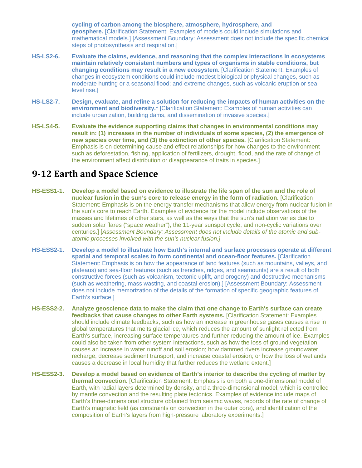**cycling of carbon among the biosphere, atmosphere, hydrosphere, and geosphere.** [Clarification Statement: Examples of models could include simulations and mathematical models.] [Assessment Boundary: Assessment does not include the specific chemical steps of photosynthesis and respiration.]

- **HS-LS2-6. Evaluate the claims, evidence, and reasoning that the complex interactions in ecosystems maintain relatively consistent numbers and types of organisms in stable conditions, but changing conditions may result in a new ecosystem.** [Clarification Statement: Examples of changes in ecosystem conditions could include modest biological or physical changes, such as moderate hunting or a seasonal flood; and extreme changes, such as volcanic eruption or sea level rise.]
- **HS-LS2-7. Design, evaluate, and refine a solution for reducing the impacts of human activities on the environment and biodiversity.\*** [Clarification Statement: Examples of human activities can include urbanization, building dams, and dissemination of invasive species.]
- **HS-LS4-5. Evaluate the evidence supporting claims that changes in environmental conditions may result in: (1) increases in the number of individuals of some species, (2) the emergence of new species over time, and (3) the extinction of other species.** [Clarification Statement: Emphasis is on determining cause and effect relationships for how changes to the environment such as deforestation, fishing, application of fertilizers, drought, flood, and the rate of change of the environment affect distribution or disappearance of traits in species.]

#### **9‐12 Earth and Space Science**

- **HS-ESS1-1. Develop a model based on evidence to illustrate the life span of the sun and the role of nuclear fusion in the sun's core to release energy in the form of radiation.** [Clarification Statement: Emphasis is on the energy transfer mechanisms that allow energy from nuclear fusion in the sun's core to reach Earth. Examples of evidence for the model include observations of the masses and lifetimes of other stars, as well as the ways that the sun's radiation varies due to sudden solar flares ("space weather"), the 11-year sunspot cycle, and non-cyclic variations over centuries.] [*Assessment Boundary: Assessment does not include details of the atomic and subatomic processes involved with the sun's nuclear fusion.]*
- **HS-ESS2-1. Develop a model to illustrate how Earth's internal and surface processes operate at different spatial and temporal scales to form continental and ocean-floor features.** [Clarification Statement: Emphasis is on how the appearance of land features (such as mountains, valleys, and plateaus) and sea-floor features (such as trenches, ridges, and seamounts) are a result of both constructive forces (such as volcanism, tectonic uplift, and orogeny) and destructive mechanisms (such as weathering, mass wasting, and coastal erosion).] [Assessment Boundary: Assessment does not include memorization of the details of the formation of specific geographic features of Earth's surface.]
- **HS-ESS2-2. Analyze geoscience data to make the claim that one change to Earth's surface can create feedbacks that cause changes to other Earth systems.** [Clarification Statement: Examples should include climate feedbacks, such as how an increase in greenhouse gases causes a rise in global temperatures that melts glacial ice, which reduces the amount of sunlight reflected from Earth's surface, increasing surface temperatures and further reducing the amount of ice. Examples could also be taken from other system interactions, such as how the loss of ground vegetation causes an increase in water runoff and soil erosion; how dammed rivers increase groundwater recharge, decrease sediment transport, and increase coastal erosion; or how the loss of wetlands causes a decrease in local humidity that further reduces the wetland extent.]
- **HS-ESS2-3. Develop a model based on evidence of Earth's interior to describe the cycling of matter by thermal convection.** [Clarification Statement: Emphasis is on both a one-dimensional model of Earth, with radial layers determined by density, and a three-dimensional model, which is controlled by mantle convection and the resulting plate tectonics. Examples of evidence include maps of Earth's three-dimensional structure obtained from seismic waves, records of the rate of change of Earth's magnetic field (as constraints on convection in the outer core), and identification of the composition of Earth's layers from high-pressure laboratory experiments.]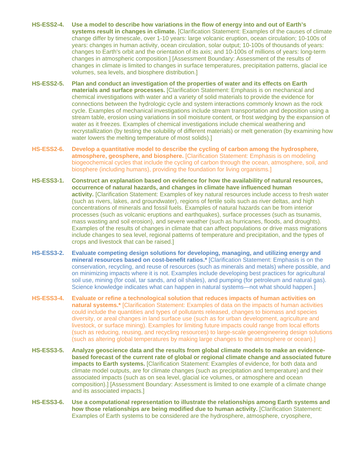- **HS-ESS2-4. Use a model to describe how variations in the flow of energy into and out of Earth's systems result in changes in climate.** [Clarification Statement: Examples of the causes of climate change differ by timescale, over 1-10 years: large volcanic eruption, ocean circulation; 10-100s of years: changes in human activity, ocean circulation, solar output; 10-100s of thousands of years: changes to Earth's orbit and the orientation of its axis; and 10-100s of millions of years: long-term changes in atmospheric composition.] [Assessment Boundary: Assessment of the results of changes in climate is limited to changes in surface temperatures, precipitation patterns, glacial ice volumes, sea levels, and biosphere distribution.]
- **HS-ESS2-5. Plan and conduct an investigation of the properties of water and its effects on Earth materials and surface processes.** [Clarification Statement: Emphasis is on mechanical and chemical investigations with water and a variety of solid materials to provide the evidence for connections between the hydrologic cycle and system interactions commonly known as the rock cycle. Examples of mechanical investigations include stream transportation and deposition using a stream table, erosion using variations in soil moisture content, or frost wedging by the expansion of water as it freezes. Examples of chemical investigations include chemical weathering and recrystallization (by testing the solubility of different materials) or melt generation (by examining how water lowers the melting temperature of most solids).]
- **HS-ESS2-6. Develop a quantitative model to describe the cycling of carbon among the hydrosphere, atmosphere, geosphere, and biosphere.** [Clarification Statement: Emphasis is on modeling biogeochemical cycles that include the cycling of carbon through the ocean, atmosphere, soil, and biosphere (including humans), providing the foundation for living organisms.]
- **HS-ESS3-1. Construct an explanation based on evidence for how the availability of natural resources, occurrence of natural hazards, and changes in climate have influenced human activity.** [Clarification Statement: Examples of key natural resources include access to fresh water (such as rivers, lakes, and groundwater), regions of fertile soils such as river deltas, and high concentrations of minerals and fossil fuels. Examples of natural hazards can be from interior processes (such as volcanic eruptions and earthquakes), surface processes (such as tsunamis, mass wasting and soil erosion), and severe weather (such as hurricanes, floods, and droughts). Examples of the results of changes in climate that can affect populations or drive mass migrations include changes to sea level, regional patterns of temperature and precipitation, and the types of crops and livestock that can be raised.]
- **HS-ESS3-2. Evaluate competing design solutions for developing, managing, and utilizing energy and mineral resources based on cost-benefit ratios.\*** [Clarification Statement: Emphasis is on the conservation, recycling, and reuse of resources (such as minerals and metals) where possible, and on minimizing impacts where it is not. Examples include developing best practices for agricultural soil use, mining (for coal, tar sands, and oil shales), and pumping (for petroleum and natural gas). Science knowledge indicates what can happen in natural systems—not what should happen.]
- **HS-ESS3-4. Evaluate or refine a technological solution that reduces impacts of human activities on natural systems.\*** [Clarification Statement: Examples of data on the impacts of human activities could include the quantities and types of pollutants released, changes to biomass and species diversity, or areal changes in land surface use (such as for urban development, agriculture and livestock, or surface mining). Examples for limiting future impacts could range from local efforts (such as reducing, reusing, and recycling resources) to large-scale geoengineering design solutions (such as altering global temperatures by making large changes to the atmosphere or ocean).]
- **HS-ESS3-5. Analyze geoscience data and the results from global climate models to make an evidencebased forecast of the current rate of global or regional climate change and associated future impacts to Earth systems.** [Clarification Statement: Examples of evidence, for both data and climate model outputs, are for climate changes (such as precipitation and temperature) and their associated impacts (such as on sea level, glacial ice volumes, or atmosphere and ocean composition).] [Assessment Boundary: Assessment is limited to one example of a climate change and its associated impacts.]
- **HS-ESS3-6. Use a computational representation to illustrate the relationships among Earth systems and how those relationships are being modified due to human activity.** [Clarification Statement: Examples of Earth systems to be considered are the hydrosphere, atmosphere, cryosphere,